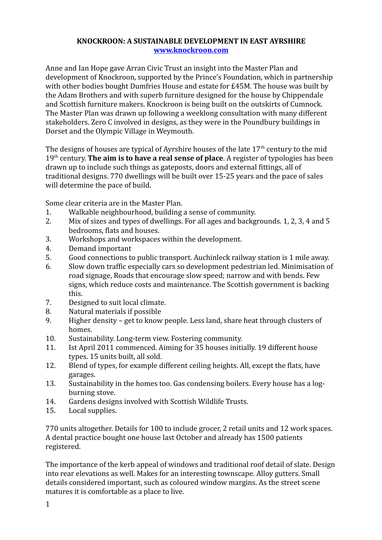## **KNOCKROON: A SUSTAINABLE DEVELOPMENT IN EAST AYRSHIRE [www.knockroon.com](http://www.knockroon.com/)**

Anne and Ian Hope gave Arran Civic Trust an insight into the Master Plan and development of Knockroon, supported by the Prince's Foundation, which in partnership with other bodies bought Dumfries House and estate for £45M. The house was built by the Adam Brothers and with superb furniture designed for the house by Chippendale and Scottish furniture makers. Knockroon is being built on the outskirts of Cumnock. The Master Plan was drawn up following a weeklong consultation with many different stakeholders. Zero C involved in designs, as they were in the Poundbury buildings in Dorset and the Olympic Village in Weymouth.

The designs of houses are typical of Ayrshire houses of the late  $17<sup>th</sup>$  century to the mid 19th century. **The aim is to have a real sense of place**. A register of typologies has been drawn up to include such things as gateposts, doors and external fittings, all of traditional designs. 770 dwellings will be built over 15-25 years and the pace of sales will determine the pace of build.

Some clear criteria are in the Master Plan.

- 1. Walkable neighbourhood, building a sense of community.
- 2. Mix of sizes and types of dwellings. For all ages and backgrounds. 1, 2, 3, 4 and 5 bedrooms, flats and houses.
- 3. Workshops and workspaces within the development.
- 4. Demand important
- 5. Good connections to public transport. Auchinleck railway station is 1 mile away.
- 6. Slow down traffic especially cars so development pedestrian led. Minimisation of road signage, Roads that encourage slow speed; narrow and with bends. Few signs, which reduce costs and maintenance. The Scottish government is backing this.
- 7. Designed to suit local climate.
- 8. Natural materials if possible
- 9. Higher density get to know people. Less land, share heat through clusters of homes.
- 10. Sustainability. Long-term view. Fostering community.
- 11. Ist April 2011 commenced. Aiming for 35 houses initially. 19 different house types. 15 units built, all sold.
- 12. Blend of types, for example different ceiling heights. All, except the flats, have garages.
- 13. Sustainability in the homes too. Gas condensing boilers. Every house has a logburning stove.
- 14. Gardens designs involved with Scottish Wildlife Trusts.
- 15. Local supplies.

770 units altogether. Details for 100 to include grocer, 2 retail units and 12 work spaces. A dental practice bought one house last October and already has 1500 patients registered.

The importance of the kerb appeal of windows and traditional roof detail of slate. Design into rear elevations as well. Makes for an interesting townscape. Alloy gutters. Small details considered important, such as coloured window margins. As the street scene matures it is comfortable as a place to live.